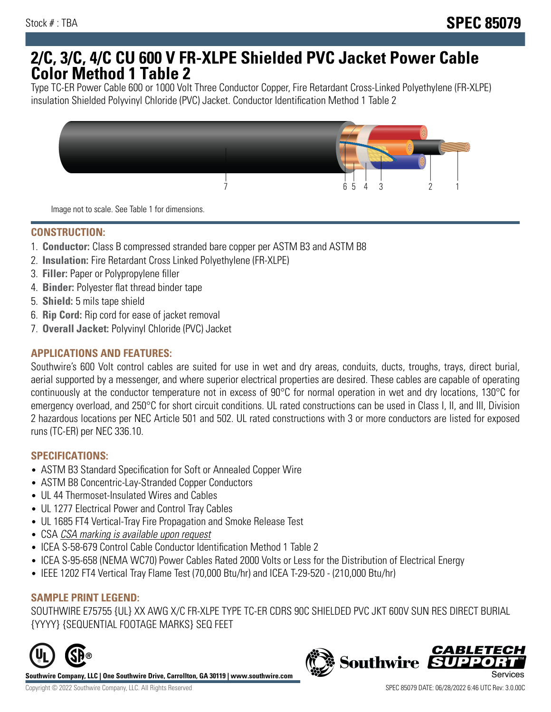# **2/C, 3/C, 4/C CU 600 V FR-XLPE Shielded PVC Jacket Power Cable Color Method 1 Table 2**

Type TC-ER Power Cable 600 or 1000 Volt Three Conductor Copper, Fire Retardant Cross-Linked Polyethylene (FR-XLPE) insulation Shielded Polyvinyl Chloride (PVC) Jacket. Conductor Identification Method 1 Table 2



Image not to scale. See Table 1 for dimensions.

## **CONSTRUCTION:**

- 1. **Conductor:** Class B compressed stranded bare copper per ASTM B3 and ASTM B8
- 2. **Insulation:** Fire Retardant Cross Linked Polyethylene (FR-XLPE)
- 3. **Filler:** Paper or Polypropylene filler
- 4. **Binder:** Polyester flat thread binder tape
- 5. **Shield:** 5 mils tape shield
- 6. **Rip Cord:** Rip cord for ease of jacket removal
- 7. **Overall Jacket:** Polyvinyl Chloride (PVC) Jacket

### **APPLICATIONS AND FEATURES:**

Southwire's 600 Volt control cables are suited for use in wet and dry areas, conduits, ducts, troughs, trays, direct burial, aerial supported by a messenger, and where superior electrical properties are desired. These cables are capable of operating continuously at the conductor temperature not in excess of 90°C for normal operation in wet and dry locations, 130°C for emergency overload, and 250°C for short circuit conditions. UL rated constructions can be used in Class I, II, and III, Division 2 hazardous locations per NEC Article 501 and 502. UL rated constructions with 3 or more conductors are listed for exposed runs (TC-ER) per NEC 336.10.

#### **SPECIFICATIONS:**

- ASTM B3 Standard Specification for Soft or Annealed Copper Wire
- ASTM B8 Concentric-Lay-Stranded Copper Conductors
- UL 44 Thermoset-Insulated Wires and Cables
- UL 1277 Electrical Power and Control Tray Cables
- UL 1685 FT4 Vertical-Tray Fire Propagation and Smoke Release Test
- CSA CSA marking is available upon request
- ICEA S-58-679 Control Cable Conductor Identification Method 1 Table 2
- ICEA S-95-658 (NEMA WC70) Power Cables Rated 2000 Volts or Less for the Distribution of Electrical Energy
- IEEE 1202 FT4 Vertical Tray Flame Test (70,000 Btu/hr) and ICEA T-29-520 (210,000 Btu/hr)

#### **SAMPLE PRINT LEGEND:**

SOUTHWIRE E75755 {UL} XX AWG X/C FR-XLPE TYPE TC-ER CDRS 90C SHIELDED PVC JKT 600V SUN RES DIRECT BURIAL {YYYY} {SEQUENTIAL FOOTAGE MARKS} SEQ FEET



**Southwire Company, LLC | One Southwire Drive, Carrollton, GA 30119 | www.southwire.com**